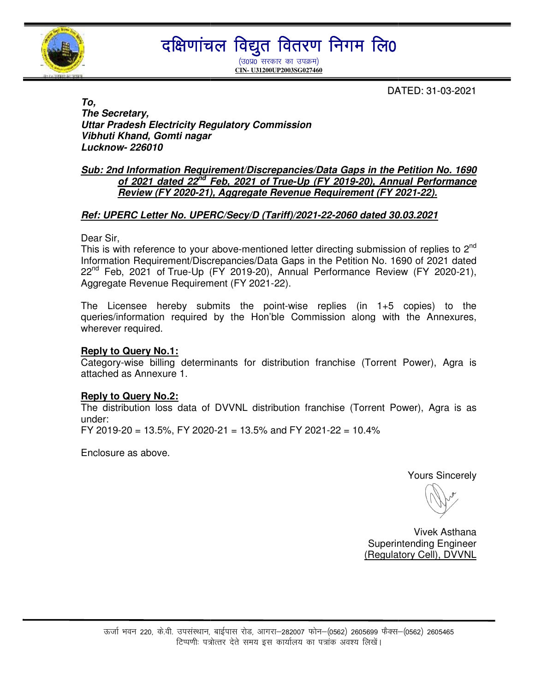

## दक्षिणांचल विद्युत वितरण निगम लि ${\bf 0}$

(उ०प्र० सरकार का उपक्रम) **CIN- U31200UP2003SG027460**

DA ATED: 31-03-2021

**To, The Secretary, Uttar Pradesh Electricity Regulatory Commission Vibhuti Khand, Gomti nagar Lucknow- 226010** 

#### **Sub: 2nd Information Requirement/Discrepancies/Data Gaps in the Petition No. 1690** d Information Requirement/Discrepancies/Data Gaps in the Petition No. 1690<br><u>of 2021 dated 22<sup>nd</sup> Feb, 2021 of True-Up (FY 2019-20), Annual Performance</u> <u>of 2021 dated 22<sup>na</sup> Feb, 2021 of True-Up (FY 2019-20), Annual Perf</u><br><u>Review (FY 2020-21), Aggregate Revenue Requirement (FY 2021-22).</u>

# <u>Review (FY 2020-21), Aggregate Revenue Requirement (FY 2021-22).</u><br>1991: Ref: UPERC Letter No. UPERC/Secy/D (Tariff)/2021-22-2060 dated 30.03.2021

Dear Sir,

This is with reference to your above-mentioned letter directing submission of replies to 2<sup>nd</sup> Information Requirement/Discrepancies/Data Gaps in the Petition No. 1690 of 2021 dated 22<sup>nd</sup> Feb, 2021 of True-Up (FY 2019-20), Annual Performance Review (FY 2020-21), Aggregate Revenue Requirement (FY 2021 2021-22).

The Licensee hereby submits the point-wise replies (in 1+5 copies) to the queries/information required by the Hon'ble Commission along with the Annexures, wherever required.

#### **Reply to Query No.1:**

Category-wise billing determinants for distribution franchise (Torrent Power), Agra is attached as Annexure 1.

#### **Reply to Query No.2:**

The distribution loss data of DVVNL distribution franchise (Torrent Power), Agra is as under:

FY 2019-20 = 13.5%, FY 2020 20 13.5%, 2020-21 = 13.5% and FY 2021-22 = 10.4%

Enclosure as above.

Yours Sincerely

 Superintending Engineer Engineer (Regulatory Cell), DVVNL Vivek Asthana

l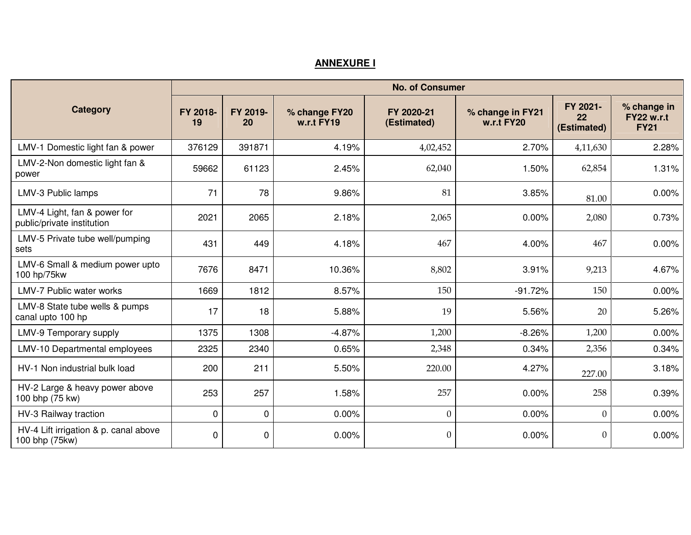### **ANNEXURE I**

|                                                            | <b>No. of Consumer</b> |                |                             |                           |                                |                               |                                                 |  |  |  |  |  |
|------------------------------------------------------------|------------------------|----------------|-----------------------------|---------------------------|--------------------------------|-------------------------------|-------------------------------------------------|--|--|--|--|--|
| <b>Category</b>                                            | FY 2018-<br>19         | FY 2019-<br>20 | % change FY20<br>w.r.t FY19 | FY 2020-21<br>(Estimated) | % change in FY21<br>w.r.t FY20 | FY 2021-<br>22<br>(Estimated) | % change in<br><b>FY22 w.r.t</b><br><b>FY21</b> |  |  |  |  |  |
| LMV-1 Domestic light fan & power                           | 376129                 | 391871         | 4.19%                       | 4,02,452                  | 2.70%                          | 4,11,630                      | 2.28%                                           |  |  |  |  |  |
| LMV-2-Non domestic light fan &<br>power                    | 59662                  | 61123          | 2.45%                       | 62,040                    | 1.50%                          | 62,854                        | 1.31%                                           |  |  |  |  |  |
| LMV-3 Public lamps                                         | 71                     | 78             | 9.86%                       | 81                        | 3.85%                          | 81.00                         | 0.00%                                           |  |  |  |  |  |
| LMV-4 Light, fan & power for<br>public/private institution | 2021                   | 2065           | 2.18%                       | 2,065                     | 0.00%                          | 2,080                         | 0.73%                                           |  |  |  |  |  |
| LMV-5 Private tube well/pumping<br>sets                    | 431                    | 449            | 4.18%                       | 467                       | 4.00%                          | 467                           | 0.00%                                           |  |  |  |  |  |
| LMV-6 Small & medium power upto<br>100 hp/75kw             | 7676                   | 8471           | 10.36%                      | 8,802                     | 3.91%                          | 9,213                         | 4.67%                                           |  |  |  |  |  |
| LMV-7 Public water works                                   | 1669                   | 1812           | 8.57%                       | 150                       | $-91.72%$                      | 150                           | 0.00%                                           |  |  |  |  |  |
| LMV-8 State tube wells & pumps<br>canal upto 100 hp        | 17                     | 18             | 5.88%                       | 19                        | 5.56%                          | 20                            | 5.26%                                           |  |  |  |  |  |
| LMV-9 Temporary supply                                     | 1375                   | 1308           | $-4.87%$                    | 1,200                     | $-8.26%$                       | 1,200                         | 0.00%                                           |  |  |  |  |  |
| LMV-10 Departmental employees                              | 2325                   | 2340           | 0.65%                       | 2,348                     | 0.34%                          | 2,356                         | 0.34%                                           |  |  |  |  |  |
| HV-1 Non industrial bulk load                              | 200                    | 211            | 5.50%                       | 220.00                    | 4.27%                          | 227.00                        | 3.18%                                           |  |  |  |  |  |
| HV-2 Large & heavy power above<br>100 bhp (75 kw)          | 253                    | 257            | 1.58%                       | 257                       | 0.00%                          | 258                           | 0.39%                                           |  |  |  |  |  |
| HV-3 Railway traction                                      | $\mathbf 0$            | $\mathbf 0$    | 0.00%                       | $\mathbf{0}$              | 0.00%                          | $\mathbf{0}$                  | 0.00%                                           |  |  |  |  |  |
| HV-4 Lift irrigation & p. canal above<br>100 bhp (75kw)    | 0                      | $\mathbf 0$    | 0.00%                       | $\theta$                  | 0.00%                          | $\theta$                      | 0.00%                                           |  |  |  |  |  |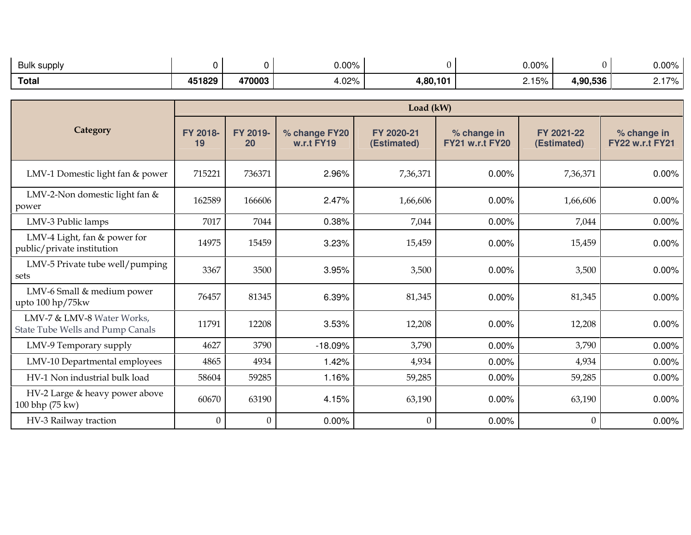| Bulk supply  |        |        | $0.00\%$    |          | $0.00\%$ |          | 0.00%           |
|--------------|--------|--------|-------------|----------|----------|----------|-----------------|
| <b>Total</b> | 451829 | 470003 | በ2%<br>т.∪∠ | 4,80,101 | 2.15%    | 1,90,536 | 170<br><i>.</i> |

|                                                                | Load (kW)        |                |                             |                           |                                       |                           |                                       |  |  |  |
|----------------------------------------------------------------|------------------|----------------|-----------------------------|---------------------------|---------------------------------------|---------------------------|---------------------------------------|--|--|--|
| Category                                                       | FY 2018-<br>19   | FY 2019-<br>20 | % change FY20<br>w.r.t FY19 | FY 2020-21<br>(Estimated) | % change in<br><b>FY21 w.r.t FY20</b> | FY 2021-22<br>(Estimated) | % change in<br><b>FY22 w.r.t FY21</b> |  |  |  |
| LMV-1 Domestic light fan & power                               | 715221           | 736371         | 2.96%                       | 7,36,371                  | 0.00%                                 | 7,36,371                  | 0.00%                                 |  |  |  |
| LMV-2-Non domestic light fan &<br>power                        | 162589           | 166606         | 2.47%                       | 1,66,606                  | 0.00%                                 | 1,66,606                  | 0.00%                                 |  |  |  |
| LMV-3 Public lamps                                             | 7017             | 7044           | 0.38%                       | 7,044                     | 0.00%                                 | 7,044                     | 0.00%                                 |  |  |  |
| LMV-4 Light, fan & power for<br>public/private institution     | 14975            | 15459          | 3.23%                       | 15,459                    | 0.00%                                 | 15,459                    | 0.00%                                 |  |  |  |
| LMV-5 Private tube well/pumping<br>sets                        | 3367             | 3500           | 3.95%                       | 3,500                     | 0.00%                                 | 3,500                     | 0.00%                                 |  |  |  |
| LMV-6 Small & medium power<br>upto $100$ hp/75 kw              | 76457            | 81345          | 6.39%                       | 81,345                    | 0.00%                                 | 81,345                    | 0.00%                                 |  |  |  |
| LMV-7 & LMV-8 Water Works,<br>State Tube Wells and Pump Canals | 11791            | 12208          | 3.53%                       | 12,208                    | 0.00%                                 | 12,208                    | 0.00%                                 |  |  |  |
| LMV-9 Temporary supply                                         | 4627             | 3790           | $-18.09%$                   | 3,790                     | 0.00%                                 | 3,790                     | 0.00%                                 |  |  |  |
| LMV-10 Departmental employees                                  | 4865             | 4934           | 1.42%                       | 4,934                     | 0.00%                                 | 4,934                     | 0.00%                                 |  |  |  |
| HV-1 Non industrial bulk load                                  | 58604            | 59285          | 1.16%                       | 59,285                    | 0.00%                                 | 59,285                    | 0.00%                                 |  |  |  |
| HV-2 Large & heavy power above<br>100 bhp (75 kw)              | 60670            | 63190          | 4.15%                       | 63,190                    | 0.00%                                 | 63,190                    | 0.00%                                 |  |  |  |
| HV-3 Railway traction                                          | $\boldsymbol{0}$ | $\mathbf{0}$   | 0.00%                       | $\theta$                  | 0.00%                                 | $\theta$                  | 0.00%                                 |  |  |  |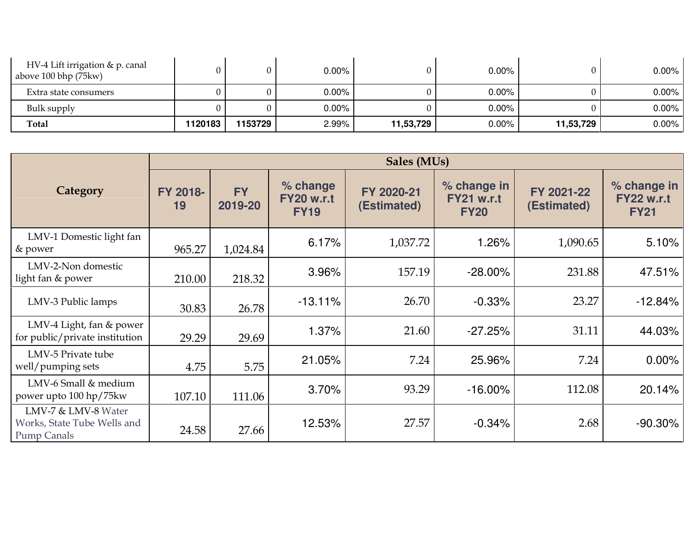| HV-4 Lift irrigation & p. canal<br>above 100 bhp (75kw) |         |         | $0.00\%$ |           | $0.00\%$ |           | $0.00\%$ |
|---------------------------------------------------------|---------|---------|----------|-----------|----------|-----------|----------|
| Extra state consumers                                   |         |         | $0.00\%$ |           | $0.00\%$ |           | $0.00\%$ |
| Bulk supply                                             |         |         | $0.00\%$ |           | $0.00\%$ |           | 0.00%    |
| <b>Total</b>                                            | 1120183 | 1153729 | 2.99%    | 11,53,729 | $0.00\%$ | 11,53,729 | 0.00%    |

|                                                                          | Sales (MUs)    |                      |                                              |                           |                                                 |                           |                                                 |  |  |  |  |
|--------------------------------------------------------------------------|----------------|----------------------|----------------------------------------------|---------------------------|-------------------------------------------------|---------------------------|-------------------------------------------------|--|--|--|--|
| Category                                                                 | FY 2018-<br>19 | <b>FY</b><br>2019-20 | % change<br><b>FY20 w.r.t</b><br><b>FY19</b> | FY 2020-21<br>(Estimated) | % change in<br><b>FY21 w.r.t</b><br><b>FY20</b> | FY 2021-22<br>(Estimated) | % change in<br><b>FY22 w.r.t</b><br><b>FY21</b> |  |  |  |  |
| LMV-1 Domestic light fan<br>& power                                      | 965.27         | 1,024.84             | 6.17%                                        | 1,037.72                  | 1.26%                                           | 1,090.65                  | 5.10%                                           |  |  |  |  |
| LMV-2-Non domestic<br>light fan & power                                  | 210.00         | 218.32               | 3.96%                                        | 157.19                    | $-28.00\%$                                      | 231.88                    | 47.51%                                          |  |  |  |  |
| LMV-3 Public lamps                                                       | 30.83          | 26.78                | $-13.11%$                                    | 26.70                     | $-0.33%$                                        | 23.27                     | $-12.84%$                                       |  |  |  |  |
| LMV-4 Light, fan & power<br>for public/private institution               | 29.29          | 29.69                | 1.37%                                        | 21.60                     | $-27.25%$                                       | 31.11                     | 44.03%                                          |  |  |  |  |
| LMV-5 Private tube<br>well/pumping sets                                  | 4.75           | 5.75                 | 21.05%                                       | 7.24                      | 25.96%                                          | 7.24                      | $0.00\%$                                        |  |  |  |  |
| LMV-6 Small & medium<br>power upto 100 hp/75kw                           | 107.10         | 111.06               | 3.70%                                        | 93.29                     | $-16.00\%$                                      | 112.08                    | 20.14%                                          |  |  |  |  |
| LMV-7 & LMV-8 Water<br>Works, State Tube Wells and<br><b>Pump Canals</b> | 24.58          | 27.66                | 12.53%                                       | 27.57                     | $-0.34%$                                        | 2.68                      | $-90.30\%$                                      |  |  |  |  |